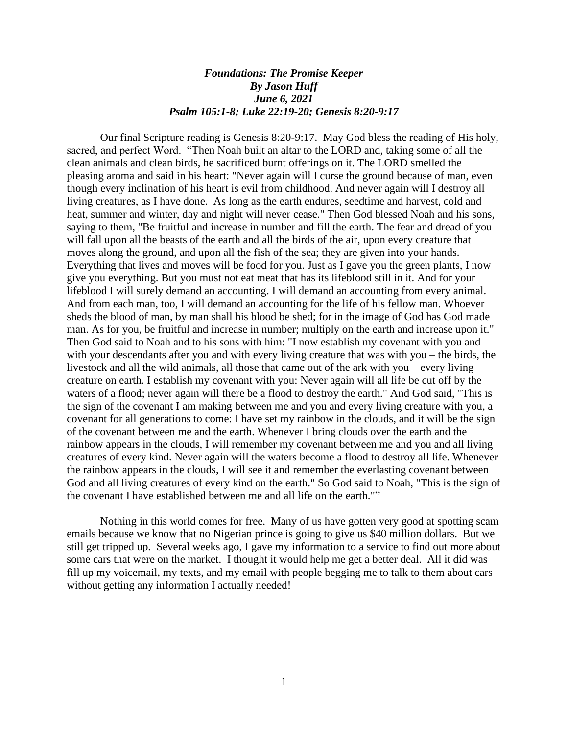## *Foundations: The Promise Keeper By Jason Huff June 6, 2021 Psalm 105:1-8; Luke 22:19-20; Genesis 8:20-9:17*

Our final Scripture reading is Genesis 8:20-9:17. May God bless the reading of His holy, sacred, and perfect Word. "Then Noah built an altar to the LORD and, taking some of all the clean animals and clean birds, he sacrificed burnt offerings on it. The LORD smelled the pleasing aroma and said in his heart: "Never again will I curse the ground because of man, even though every inclination of his heart is evil from childhood. And never again will I destroy all living creatures, as I have done. As long as the earth endures, seedtime and harvest, cold and heat, summer and winter, day and night will never cease." Then God blessed Noah and his sons, saying to them, "Be fruitful and increase in number and fill the earth. The fear and dread of you will fall upon all the beasts of the earth and all the birds of the air, upon every creature that moves along the ground, and upon all the fish of the sea; they are given into your hands. Everything that lives and moves will be food for you. Just as I gave you the green plants, I now give you everything. But you must not eat meat that has its lifeblood still in it. And for your lifeblood I will surely demand an accounting. I will demand an accounting from every animal. And from each man, too, I will demand an accounting for the life of his fellow man. Whoever sheds the blood of man, by man shall his blood be shed; for in the image of God has God made man. As for you, be fruitful and increase in number; multiply on the earth and increase upon it." Then God said to Noah and to his sons with him: "I now establish my covenant with you and with your descendants after you and with every living creature that was with you – the birds, the livestock and all the wild animals, all those that came out of the ark with you – every living creature on earth. I establish my covenant with you: Never again will all life be cut off by the waters of a flood; never again will there be a flood to destroy the earth." And God said, "This is the sign of the covenant I am making between me and you and every living creature with you, a covenant for all generations to come: I have set my rainbow in the clouds, and it will be the sign of the covenant between me and the earth. Whenever I bring clouds over the earth and the rainbow appears in the clouds, I will remember my covenant between me and you and all living creatures of every kind. Never again will the waters become a flood to destroy all life. Whenever the rainbow appears in the clouds, I will see it and remember the everlasting covenant between God and all living creatures of every kind on the earth." So God said to Noah, "This is the sign of the covenant I have established between me and all life on the earth.""

Nothing in this world comes for free. Many of us have gotten very good at spotting scam emails because we know that no Nigerian prince is going to give us \$40 million dollars. But we still get tripped up. Several weeks ago, I gave my information to a service to find out more about some cars that were on the market. I thought it would help me get a better deal. All it did was fill up my voicemail, my texts, and my email with people begging me to talk to them about cars without getting any information I actually needed!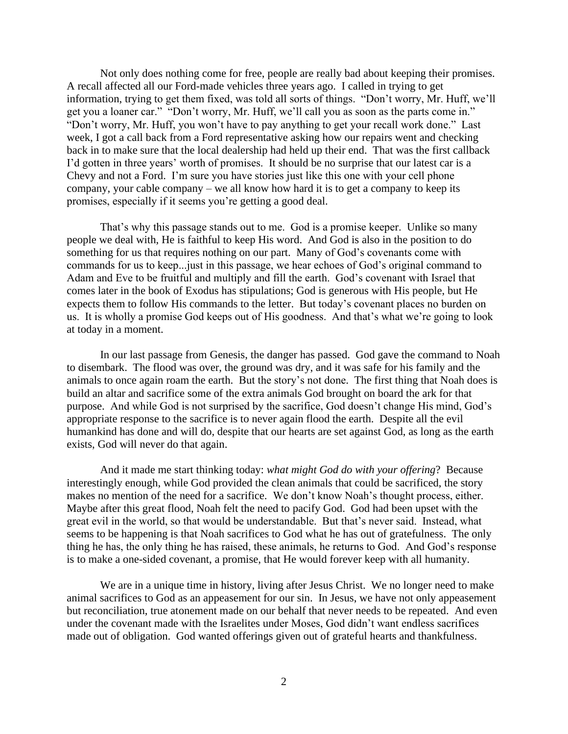Not only does nothing come for free, people are really bad about keeping their promises. A recall affected all our Ford-made vehicles three years ago. I called in trying to get information, trying to get them fixed, was told all sorts of things. "Don't worry, Mr. Huff, we'll get you a loaner car." "Don't worry, Mr. Huff, we'll call you as soon as the parts come in." "Don't worry, Mr. Huff, you won't have to pay anything to get your recall work done." Last week, I got a call back from a Ford representative asking how our repairs went and checking back in to make sure that the local dealership had held up their end. That was the first callback I'd gotten in three years' worth of promises. It should be no surprise that our latest car is a Chevy and not a Ford. I'm sure you have stories just like this one with your cell phone company, your cable company – we all know how hard it is to get a company to keep its promises, especially if it seems you're getting a good deal.

That's why this passage stands out to me. God is a promise keeper. Unlike so many people we deal with, He is faithful to keep His word. And God is also in the position to do something for us that requires nothing on our part. Many of God's covenants come with commands for us to keep...just in this passage, we hear echoes of God's original command to Adam and Eve to be fruitful and multiply and fill the earth. God's covenant with Israel that comes later in the book of Exodus has stipulations; God is generous with His people, but He expects them to follow His commands to the letter. But today's covenant places no burden on us. It is wholly a promise God keeps out of His goodness. And that's what we're going to look at today in a moment.

In our last passage from Genesis, the danger has passed. God gave the command to Noah to disembark. The flood was over, the ground was dry, and it was safe for his family and the animals to once again roam the earth. But the story's not done. The first thing that Noah does is build an altar and sacrifice some of the extra animals God brought on board the ark for that purpose. And while God is not surprised by the sacrifice, God doesn't change His mind, God's appropriate response to the sacrifice is to never again flood the earth. Despite all the evil humankind has done and will do, despite that our hearts are set against God, as long as the earth exists, God will never do that again.

And it made me start thinking today: *what might God do with your offering*? Because interestingly enough, while God provided the clean animals that could be sacrificed, the story makes no mention of the need for a sacrifice. We don't know Noah's thought process, either. Maybe after this great flood, Noah felt the need to pacify God. God had been upset with the great evil in the world, so that would be understandable. But that's never said. Instead, what seems to be happening is that Noah sacrifices to God what he has out of gratefulness. The only thing he has, the only thing he has raised, these animals, he returns to God. And God's response is to make a one-sided covenant, a promise, that He would forever keep with all humanity.

We are in a unique time in history, living after Jesus Christ. We no longer need to make animal sacrifices to God as an appeasement for our sin. In Jesus, we have not only appeasement but reconciliation, true atonement made on our behalf that never needs to be repeated. And even under the covenant made with the Israelites under Moses, God didn't want endless sacrifices made out of obligation. God wanted offerings given out of grateful hearts and thankfulness.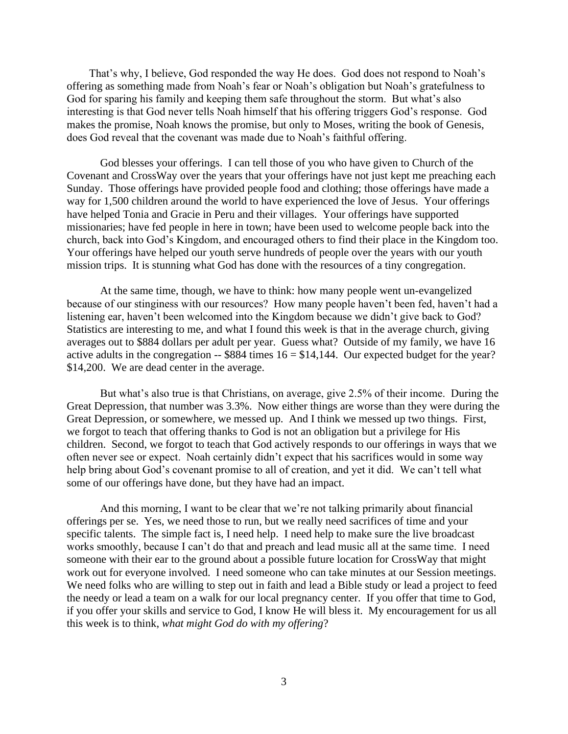That's why, I believe, God responded the way He does. God does not respond to Noah's offering as something made from Noah's fear or Noah's obligation but Noah's gratefulness to God for sparing his family and keeping them safe throughout the storm. But what's also interesting is that God never tells Noah himself that his offering triggers God's response. God makes the promise, Noah knows the promise, but only to Moses, writing the book of Genesis, does God reveal that the covenant was made due to Noah's faithful offering.

God blesses your offerings. I can tell those of you who have given to Church of the Covenant and CrossWay over the years that your offerings have not just kept me preaching each Sunday. Those offerings have provided people food and clothing; those offerings have made a way for 1,500 children around the world to have experienced the love of Jesus. Your offerings have helped Tonia and Gracie in Peru and their villages. Your offerings have supported missionaries; have fed people in here in town; have been used to welcome people back into the church, back into God's Kingdom, and encouraged others to find their place in the Kingdom too. Your offerings have helped our youth serve hundreds of people over the years with our youth mission trips. It is stunning what God has done with the resources of a tiny congregation.

At the same time, though, we have to think: how many people went un-evangelized because of our stinginess with our resources? How many people haven't been fed, haven't had a listening ear, haven't been welcomed into the Kingdom because we didn't give back to God? Statistics are interesting to me, and what I found this week is that in the average church, giving averages out to \$884 dollars per adult per year. Guess what? Outside of my family, we have 16 active adults in the congregation  $-$  \$884 times  $16 = $14,144$ . Our expected budget for the year? \$14,200. We are dead center in the average.

But what's also true is that Christians, on average, give 2.5% of their income. During the Great Depression, that number was 3.3%. Now either things are worse than they were during the Great Depression, or somewhere, we messed up. And I think we messed up two things. First, we forgot to teach that offering thanks to God is not an obligation but a privilege for His children. Second, we forgot to teach that God actively responds to our offerings in ways that we often never see or expect. Noah certainly didn't expect that his sacrifices would in some way help bring about God's covenant promise to all of creation, and yet it did. We can't tell what some of our offerings have done, but they have had an impact.

And this morning, I want to be clear that we're not talking primarily about financial offerings per se. Yes, we need those to run, but we really need sacrifices of time and your specific talents. The simple fact is, I need help. I need help to make sure the live broadcast works smoothly, because I can't do that and preach and lead music all at the same time. I need someone with their ear to the ground about a possible future location for CrossWay that might work out for everyone involved. I need someone who can take minutes at our Session meetings. We need folks who are willing to step out in faith and lead a Bible study or lead a project to feed the needy or lead a team on a walk for our local pregnancy center. If you offer that time to God, if you offer your skills and service to God, I know He will bless it. My encouragement for us all this week is to think, *what might God do with my offering*?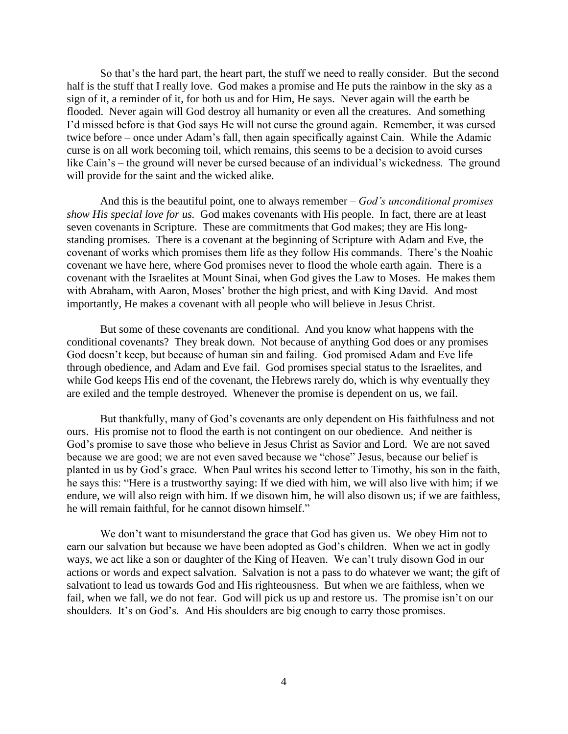So that's the hard part, the heart part, the stuff we need to really consider. But the second half is the stuff that I really love. God makes a promise and He puts the rainbow in the sky as a sign of it, a reminder of it, for both us and for Him, He says. Never again will the earth be flooded. Never again will God destroy all humanity or even all the creatures. And something I'd missed before is that God says He will not curse the ground again. Remember, it was cursed twice before – once under Adam's fall, then again specifically against Cain. While the Adamic curse is on all work becoming toil, which remains, this seems to be a decision to avoid curses like Cain's – the ground will never be cursed because of an individual's wickedness. The ground will provide for the saint and the wicked alike.

And this is the beautiful point, one to always remember – *God's unconditional promises show His special love for us.* God makes covenants with His people. In fact, there are at least seven covenants in Scripture. These are commitments that God makes; they are His longstanding promises. There is a covenant at the beginning of Scripture with Adam and Eve, the covenant of works which promises them life as they follow His commands. There's the Noahic covenant we have here, where God promises never to flood the whole earth again. There is a covenant with the Israelites at Mount Sinai, when God gives the Law to Moses. He makes them with Abraham, with Aaron, Moses' brother the high priest, and with King David. And most importantly, He makes a covenant with all people who will believe in Jesus Christ.

But some of these covenants are conditional. And you know what happens with the conditional covenants? They break down. Not because of anything God does or any promises God doesn't keep, but because of human sin and failing. God promised Adam and Eve life through obedience, and Adam and Eve fail. God promises special status to the Israelites, and while God keeps His end of the covenant, the Hebrews rarely do, which is why eventually they are exiled and the temple destroyed. Whenever the promise is dependent on us, we fail.

But thankfully, many of God's covenants are only dependent on His faithfulness and not ours. His promise not to flood the earth is not contingent on our obedience. And neither is God's promise to save those who believe in Jesus Christ as Savior and Lord. We are not saved because we are good; we are not even saved because we "chose" Jesus, because our belief is planted in us by God's grace. When Paul writes his second letter to Timothy, his son in the faith, he says this: "Here is a trustworthy saying: If we died with him, we will also live with him; if we endure, we will also reign with him. If we disown him, he will also disown us; if we are faithless, he will remain faithful, for he cannot disown himself."

We don't want to misunderstand the grace that God has given us. We obey Him not to earn our salvation but because we have been adopted as God's children. When we act in godly ways, we act like a son or daughter of the King of Heaven. We can't truly disown God in our actions or words and expect salvation. Salvation is not a pass to do whatever we want; the gift of salvationt to lead us towards God and His righteousness. But when we are faithless, when we fail, when we fall, we do not fear. God will pick us up and restore us. The promise isn't on our shoulders. It's on God's. And His shoulders are big enough to carry those promises.